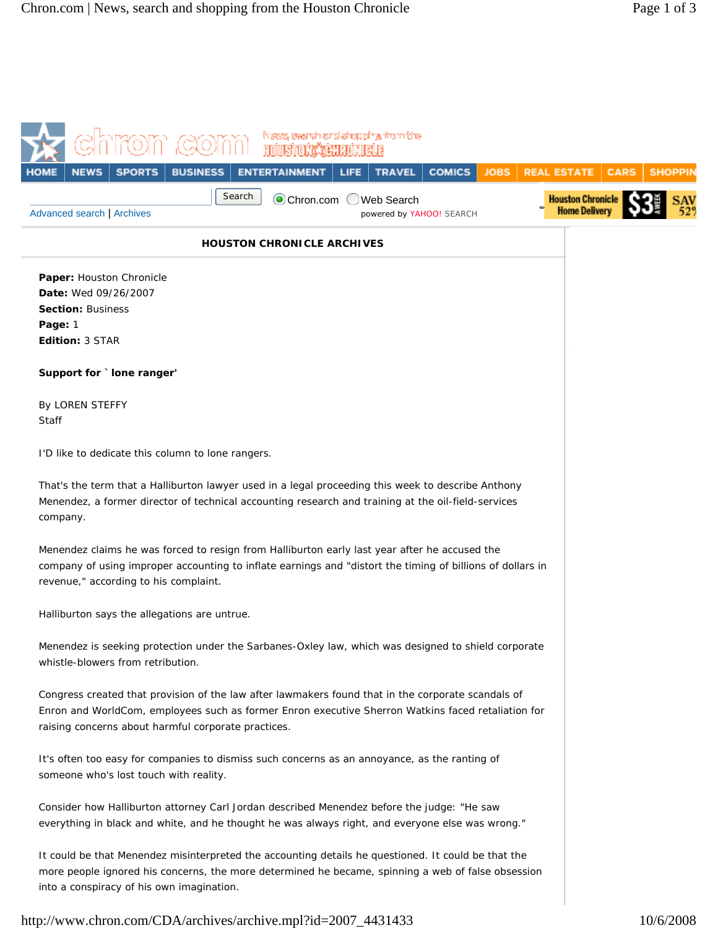|                                                                                                                                                                                                                                                                 |                           | iNisyasy, severah sarat shopagiryy, Yronn Che- |                                                                          |             |                                                                       |             |                |
|-----------------------------------------------------------------------------------------------------------------------------------------------------------------------------------------------------------------------------------------------------------------|---------------------------|------------------------------------------------|--------------------------------------------------------------------------|-------------|-----------------------------------------------------------------------|-------------|----------------|
| <b>SPORTS</b><br><b>NEWS</b><br><b>Advanced search   Archives</b>                                                                                                                                                                                               | <b>BUSINESS</b><br>Search | <b>ENTERTAINMENT</b><br>LIFE<br>Chron.com      | <b>TRAVEL</b><br><b>COMICS</b><br>Web Search<br>powered by YAHOO! SEARCH | <b>JOBS</b> | <b>REAL ESTATE</b><br><b>Houston Chronicle</b><br><b>Home Deliver</b> | <b>CARS</b> | <b>SHOPPII</b> |
|                                                                                                                                                                                                                                                                 |                           | <b>HOUSTON CHRONICLE ARCHIVES</b>              |                                                                          |             |                                                                       |             |                |
| Paper: Houston Chronicle<br>Date: Wed 09/26/2007<br><b>Section: Business</b><br>Page: 1<br>Edition: 3 STAR                                                                                                                                                      |                           |                                                |                                                                          |             |                                                                       |             |                |
| Support for `lone ranger'                                                                                                                                                                                                                                       |                           |                                                |                                                                          |             |                                                                       |             |                |
| By LOREN STEFFY<br>Staff                                                                                                                                                                                                                                        |                           |                                                |                                                                          |             |                                                                       |             |                |
| I'D like to dedicate this column to lone rangers.                                                                                                                                                                                                               |                           |                                                |                                                                          |             |                                                                       |             |                |
| That's the term that a Halliburton lawyer used in a legal proceeding this week to describe Anthony<br>Menendez, a former director of technical accounting research and training at the oil-field-services<br>company.                                           |                           |                                                |                                                                          |             |                                                                       |             |                |
| Menendez claims he was forced to resign from Halliburton early last year after he accused the<br>company of using improper accounting to inflate earnings and "distort the timing of billions of dollars in<br>revenue," according to his complaint.            |                           |                                                |                                                                          |             |                                                                       |             |                |
| Halliburton says the allegations are untrue.                                                                                                                                                                                                                    |                           |                                                |                                                                          |             |                                                                       |             |                |
| Menendez is seeking protection under the Sarbanes-Oxley law, which was designed to shield corporate<br>whistle-blowers from retribution.                                                                                                                        |                           |                                                |                                                                          |             |                                                                       |             |                |
| Congress created that provision of the law after lawmakers found that in the corporate scandals of<br>Enron and WorldCom, employees such as former Enron executive Sherron Watkins faced retaliation for<br>raising concerns about harmful corporate practices. |                           |                                                |                                                                          |             |                                                                       |             |                |
| It's often too easy for companies to dismiss such concerns as an annoyance, as the ranting of<br>someone who's lost touch with reality.                                                                                                                         |                           |                                                |                                                                          |             |                                                                       |             |                |
| Consider how Halliburton attorney Carl Jordan described Menendez before the judge: "He saw<br>everything in black and white, and he thought he was always right, and everyone else was wrong."                                                                  |                           |                                                |                                                                          |             |                                                                       |             |                |
| It could be that Menendez misinterpreted the accounting details he questioned. It could be that the<br>more people ignored his concerns, the more determined he became, spinning a web of false obsession<br>into a conspiracy of his own imagination.          |                           |                                                |                                                                          |             |                                                                       |             |                |
| http://www.chron.com/CDA/archives/archive.mpl?id=2007_4431433                                                                                                                                                                                                   |                           |                                                |                                                                          |             |                                                                       |             | 10/6/2008      |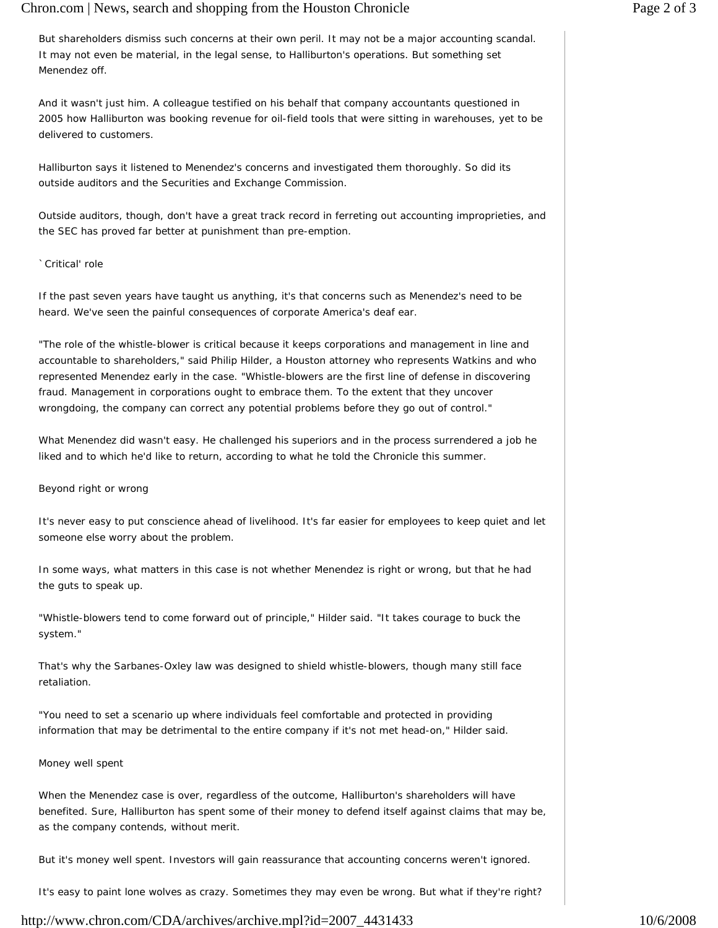## Chron.com | News, search and shopping from the Houston Chronicle Page 2 of 3

But shareholders dismiss such concerns at their own peril. It may not be a major accounting scandal. It may not even be material, in the legal sense, to Halliburton's operations. But something set Menendez off.

And it wasn't just him. A colleague testified on his behalf that company accountants questioned in 2005 how Halliburton was booking revenue for oil-field tools that were sitting in warehouses, yet to be delivered to customers.

Halliburton says it listened to Menendez's concerns and investigated them thoroughly. So did its outside auditors and the Securities and Exchange Commission.

Outside auditors, though, don't have a great track record in ferreting out accounting improprieties, and the SEC has proved far better at punishment than pre-emption.

`Critical' role

If the past seven years have taught us anything, it's that concerns such as Menendez's need to be heard. We've seen the painful consequences of corporate America's deaf ear.

"The role of the whistle-blower is critical because it keeps corporations and management in line and accountable to shareholders," said Philip Hilder, a Houston attorney who represents Watkins and who represented Menendez early in the case. "Whistle-blowers are the first line of defense in discovering fraud. Management in corporations ought to embrace them. To the extent that they uncover wrongdoing, the company can correct any potential problems before they go out of control."

What Menendez did wasn't easy. He challenged his superiors and in the process surrendered a job he liked and to which he'd like to return, according to what he told the Chronicle this summer.

Beyond right or wrong

It's never easy to put conscience ahead of livelihood. It's far easier for employees to keep quiet and let someone else worry about the problem.

In some ways, what matters in this case is not whether Menendez is right or wrong, but that he had the guts to speak up.

"Whistle-blowers tend to come forward out of principle," Hilder said. "It takes courage to buck the system."

That's why the Sarbanes-Oxley law was designed to shield whistle-blowers, though many still face retaliation.

"You need to set a scenario up where individuals feel comfortable and protected in providing information that may be detrimental to the entire company if it's not met head-on," Hilder said.

## Money well spent

When the Menendez case is over, regardless of the outcome, Halliburton's shareholders will have benefited. Sure, Halliburton has spent some of their money to defend itself against claims that may be, as the company contends, without merit.

But it's money well spent. Investors will gain reassurance that accounting concerns weren't ignored.

It's easy to paint lone wolves as crazy. Sometimes they may even be wrong. But what if they're right?